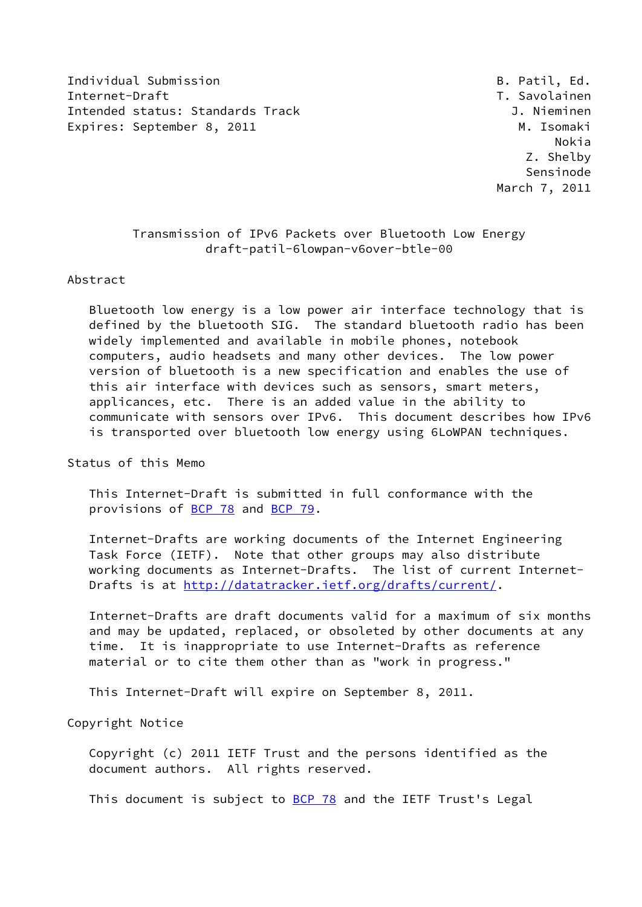Individual Submission **B. Patil, Ed.** Submission **B. Patil, Ed.** B. Patil, Ed. Internet-Draft T. Savolainen Intended status: Standards Track J. Nieminen Expires: September 8, 2011 M. Isomaki

 Nokia Z. Shelby Sensinode March 7, 2011

# Transmission of IPv6 Packets over Bluetooth Low Energy draft-patil-6lowpan-v6over-btle-00

### Abstract

 Bluetooth low energy is a low power air interface technology that is defined by the bluetooth SIG. The standard bluetooth radio has been widely implemented and available in mobile phones, notebook computers, audio headsets and many other devices. The low power version of bluetooth is a new specification and enables the use of this air interface with devices such as sensors, smart meters, applicances, etc. There is an added value in the ability to communicate with sensors over IPv6. This document describes how IPv6 is transported over bluetooth low energy using 6LoWPAN techniques.

Status of this Memo

 This Internet-Draft is submitted in full conformance with the provisions of [BCP 78](https://datatracker.ietf.org/doc/pdf/bcp78) and [BCP 79](https://datatracker.ietf.org/doc/pdf/bcp79).

 Internet-Drafts are working documents of the Internet Engineering Task Force (IETF). Note that other groups may also distribute working documents as Internet-Drafts. The list of current Internet Drafts is at<http://datatracker.ietf.org/drafts/current/>.

 Internet-Drafts are draft documents valid for a maximum of six months and may be updated, replaced, or obsoleted by other documents at any time. It is inappropriate to use Internet-Drafts as reference material or to cite them other than as "work in progress."

This Internet-Draft will expire on September 8, 2011.

Copyright Notice

 Copyright (c) 2011 IETF Trust and the persons identified as the document authors. All rights reserved.

This document is subject to **[BCP 78](https://datatracker.ietf.org/doc/pdf/bcp78)** and the IETF Trust's Legal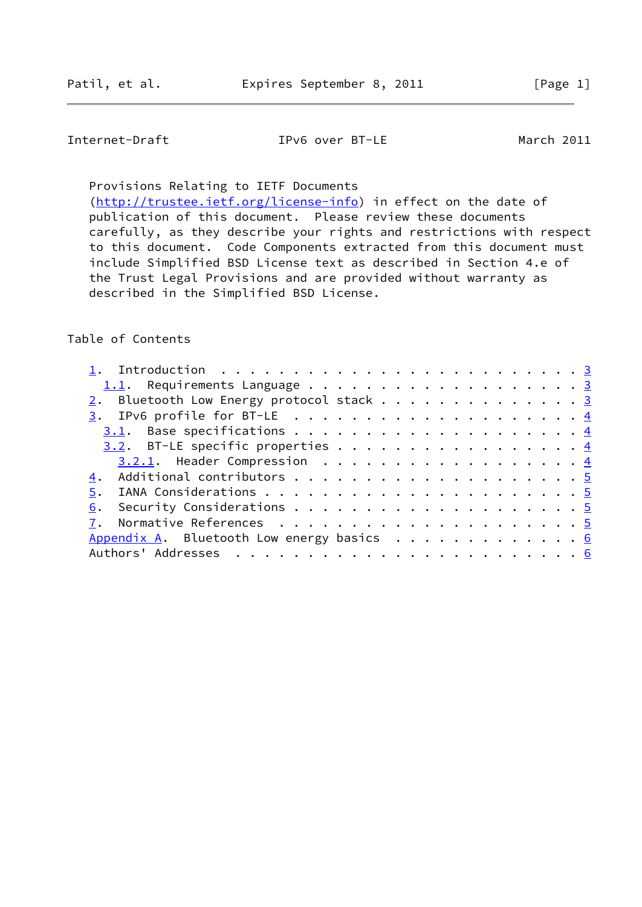Internet-Draft IPv6 over BT-LE March 2011

Provisions Relating to IETF Documents

[\(http://trustee.ietf.org/license-info](http://trustee.ietf.org/license-info)) in effect on the date of publication of this document. Please review these documents carefully, as they describe your rights and restrictions with respect to this document. Code Components extracted from this document must include Simplified BSD License text as described in Section 4.e of the Trust Legal Provisions and are provided without warranty as described in the Simplified BSD License.

### Table of Contents

| 2. Bluetooth Low Energy protocol stack 3           |  |
|----------------------------------------------------|--|
|                                                    |  |
|                                                    |  |
| 3.2. BT-LE specific properties 4                   |  |
| $3.2.1$ . Header Compression 4                     |  |
|                                                    |  |
|                                                    |  |
|                                                    |  |
|                                                    |  |
| Appendix A. Bluetooth Low energy basics $\cdots$ 6 |  |
|                                                    |  |
|                                                    |  |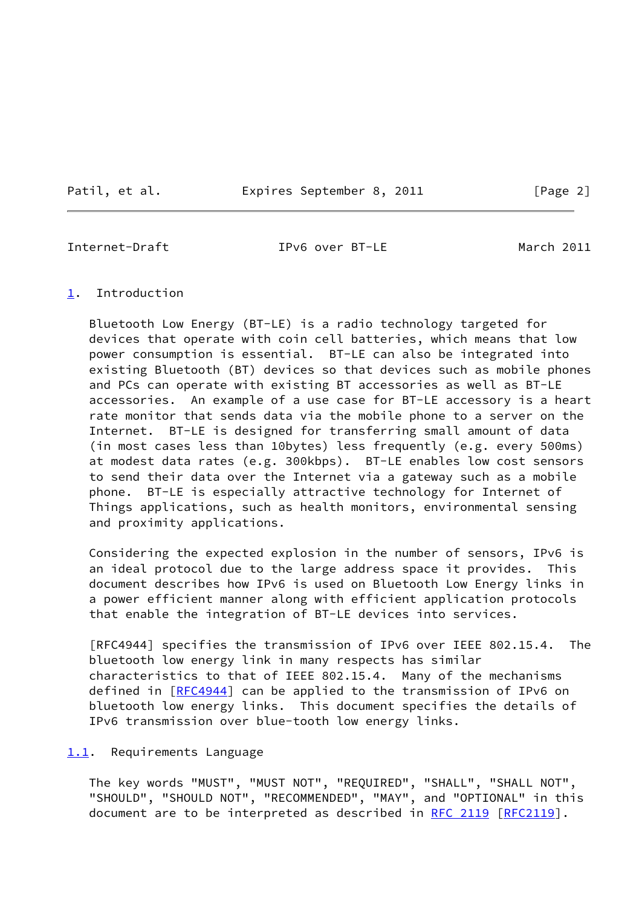Patil, et al. Expires September 8, 2011 [Page 2]

<span id="page-2-1"></span>

Internet-Draft IPv6 over BT-LE March 2011

#### <span id="page-2-0"></span>[1](#page-2-0). Introduction

 Bluetooth Low Energy (BT-LE) is a radio technology targeted for devices that operate with coin cell batteries, which means that low power consumption is essential. BT-LE can also be integrated into existing Bluetooth (BT) devices so that devices such as mobile phones and PCs can operate with existing BT accessories as well as BT-LE accessories. An example of a use case for BT-LE accessory is a heart rate monitor that sends data via the mobile phone to a server on the Internet. BT-LE is designed for transferring small amount of data (in most cases less than 10bytes) less frequently (e.g. every 500ms) at modest data rates (e.g. 300kbps). BT-LE enables low cost sensors to send their data over the Internet via a gateway such as a mobile phone. BT-LE is especially attractive technology for Internet of Things applications, such as health monitors, environmental sensing and proximity applications.

 Considering the expected explosion in the number of sensors, IPv6 is an ideal protocol due to the large address space it provides. This document describes how IPv6 is used on Bluetooth Low Energy links in a power efficient manner along with efficient application protocols that enable the integration of BT-LE devices into services.

 [RFC4944] specifies the transmission of IPv6 over IEEE 802.15.4. The bluetooth low energy link in many respects has similar characteristics to that of IEEE 802.15.4. Many of the mechanisms defined in [[RFC4944\]](https://datatracker.ietf.org/doc/pdf/rfc4944) can be applied to the transmission of IPv6 on bluetooth low energy links. This document specifies the details of IPv6 transmission over blue-tooth low energy links.

#### <span id="page-2-2"></span>[1.1](#page-2-2). Requirements Language

 The key words "MUST", "MUST NOT", "REQUIRED", "SHALL", "SHALL NOT", "SHOULD", "SHOULD NOT", "RECOMMENDED", "MAY", and "OPTIONAL" in this document are to be interpreted as described in [RFC 2119 \[RFC2119](https://datatracker.ietf.org/doc/pdf/rfc2119)].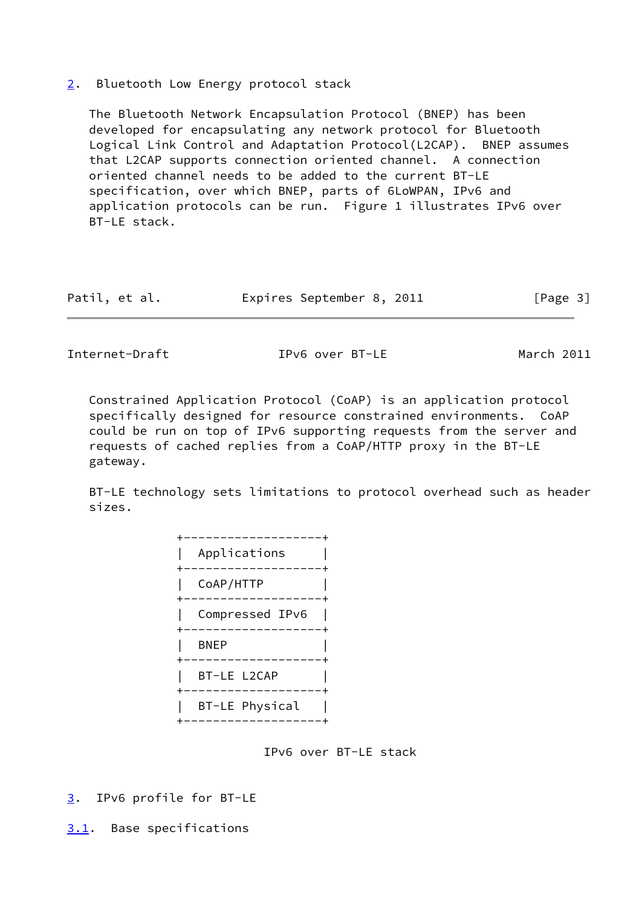## <span id="page-3-0"></span>[2](#page-3-0). Bluetooth Low Energy protocol stack

 The Bluetooth Network Encapsulation Protocol (BNEP) has been developed for encapsulating any network protocol for Bluetooth Logical Link Control and Adaptation Protocol(L2CAP). BNEP assumes that L2CAP supports connection oriented channel. A connection oriented channel needs to be added to the current BT-LE specification, over which BNEP, parts of 6LoWPAN, IPv6 and application protocols can be run. Figure 1 illustrates IPv6 over BT-LE stack.

|  | Patil, et al. |  | Expires September 8, 2011 |  |  | [Page 3] |
|--|---------------|--|---------------------------|--|--|----------|
|--|---------------|--|---------------------------|--|--|----------|

<span id="page-3-2"></span>Internet-Draft IPv6 over BT-LE March 2011

 Constrained Application Protocol (CoAP) is an application protocol specifically designed for resource constrained environments. CoAP could be run on top of IPv6 supporting requests from the server and requests of cached replies from a CoAP/HTTP proxy in the BT-LE gateway.

 BT-LE technology sets limitations to protocol overhead such as header sizes.

| Applications    |
|-----------------|
| CoAP/HTTP       |
| Compressed IPv6 |
| <b>BNEP</b>     |
| BT-LE L2CAP     |
| BT-LE Physical  |

IPv6 over BT-LE stack

- <span id="page-3-1"></span>[3](#page-3-1). IPv6 profile for BT-LE
- <span id="page-3-3"></span>[3.1](#page-3-3). Base specifications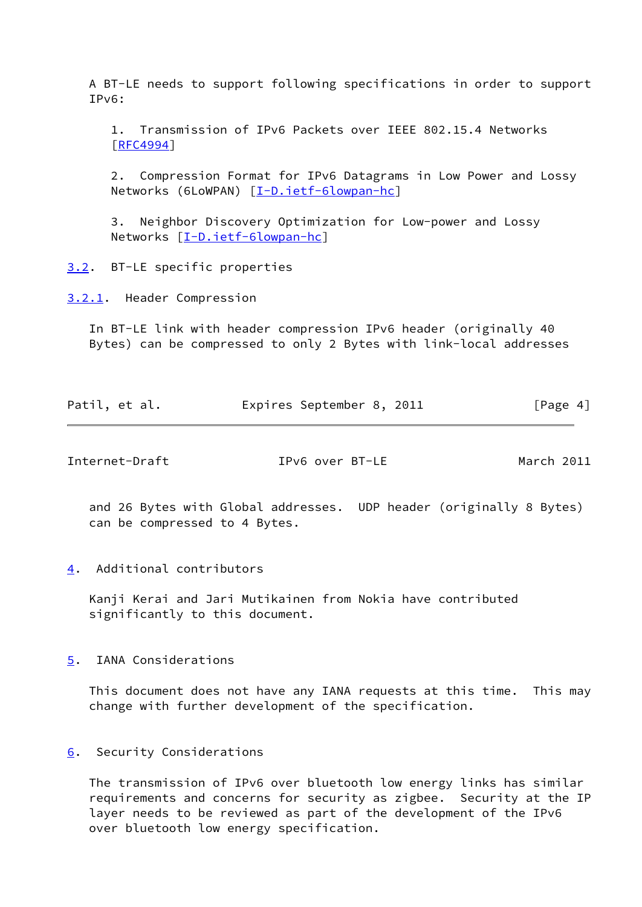A BT-LE needs to support following specifications in order to support IPv6:

 1. Transmission of IPv6 Packets over IEEE 802.15.4 Networks [[RFC4994\]](https://datatracker.ietf.org/doc/pdf/rfc4994)

 2. Compression Format for IPv6 Datagrams in Low Power and Lossy Networks (6LoWPAN) [[I-D.ietf-6lowpan-hc](#page-5-3)]

 3. Neighbor Discovery Optimization for Low-power and Lossy Networks [\[I-D.ietf-6lowpan-hc](#page-5-3)]

<span id="page-4-0"></span>[3.2](#page-4-0). BT-LE specific properties

<span id="page-4-1"></span>[3.2.1](#page-4-1). Header Compression

 In BT-LE link with header compression IPv6 header (originally 40 Bytes) can be compressed to only 2 Bytes with link-local addresses

| Patil, et al. | Expires September 8, 2011 |  | [Page 4] |
|---------------|---------------------------|--|----------|
|---------------|---------------------------|--|----------|

<span id="page-4-3"></span>Internet-Draft IPv6 over BT-LE March 2011

 and 26 Bytes with Global addresses. UDP header (originally 8 Bytes) can be compressed to 4 Bytes.

<span id="page-4-2"></span>[4](#page-4-2). Additional contributors

 Kanji Kerai and Jari Mutikainen from Nokia have contributed significantly to this document.

# <span id="page-4-4"></span>[5](#page-4-4). IANA Considerations

 This document does not have any IANA requests at this time. This may change with further development of the specification.

## <span id="page-4-5"></span>[6](#page-4-5). Security Considerations

 The transmission of IPv6 over bluetooth low energy links has similar requirements and concerns for security as zigbee. Security at the IP layer needs to be reviewed as part of the development of the IPv6 over bluetooth low energy specification.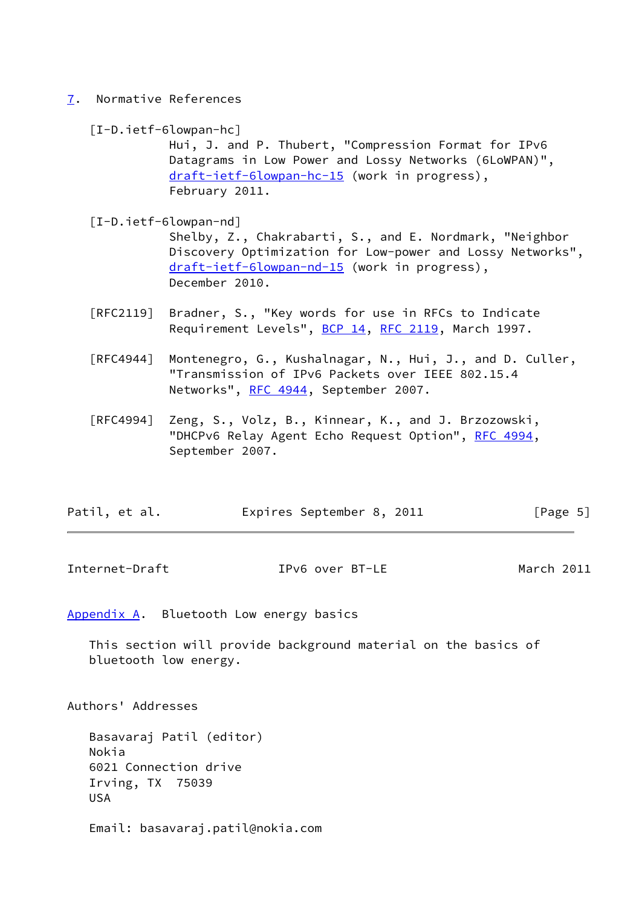<span id="page-5-0"></span>[7](#page-5-0). Normative References

<span id="page-5-3"></span>

|  | $[I-D.ietf-6lowpan-hc]$ |  |
|--|-------------------------|--|
|--|-------------------------|--|

 Hui, J. and P. Thubert, "Compression Format for IPv6 Datagrams in Low Power and Lossy Networks (6LoWPAN)", [draft-ietf-6lowpan-hc-15](https://datatracker.ietf.org/doc/pdf/draft-ietf-6lowpan-hc-15) (work in progress), February 2011.

[I-D.ietf-6lowpan-nd]

 Shelby, Z., Chakrabarti, S., and E. Nordmark, "Neighbor Discovery Optimization for Low-power and Lossy Networks", [draft-ietf-6lowpan-nd-15](https://datatracker.ietf.org/doc/pdf/draft-ietf-6lowpan-nd-15) (work in progress), December 2010.

- [RFC2119] Bradner, S., "Key words for use in RFCs to Indicate Requirement Levels", [BCP 14](https://datatracker.ietf.org/doc/pdf/bcp14), [RFC 2119](https://datatracker.ietf.org/doc/pdf/rfc2119), March 1997.
- [RFC4944] Montenegro, G., Kushalnagar, N., Hui, J., and D. Culler, "Transmission of IPv6 Packets over IEEE 802.15.4 Networks", [RFC 4944](https://datatracker.ietf.org/doc/pdf/rfc4944), September 2007.
- [RFC4994] Zeng, S., Volz, B., Kinnear, K., and J. Brzozowski, "DHCPv6 Relay Agent Echo Request Option", [RFC 4994](https://datatracker.ietf.org/doc/pdf/rfc4994), September 2007.

| Patil, et al. | Expires September 8, 2011 | [Page 5] |
|---------------|---------------------------|----------|
|---------------|---------------------------|----------|

<span id="page-5-2"></span>Internet-Draft IPv6 over BT-LE March 2011

<span id="page-5-1"></span>[Appendix A.](#page-5-1) Bluetooth Low energy basics

 This section will provide background material on the basics of bluetooth low energy.

Authors' Addresses

 Basavaraj Patil (editor) Nokia 6021 Connection drive Irving, TX 75039 USA

Email: basavaraj.patil@nokia.com